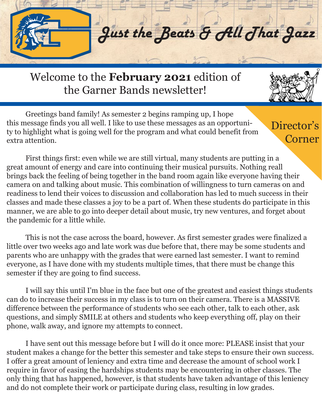

Welcome to the **February 2021** edition of the Garner Bands newsletter!

 Greetings band family! As semester 2 begins ramping up, I hope this message finds you all well. I like to use these messages as an opportunity to highlight what is going well for the program and what could benefit from extra attention.

Director's Corner

 First things first: even while we are still virtual, many students are putting in a great amount of energy and care into continuing their musical pursuits. Nothing reall brings back the feeling of being together in the band room again like everyone having their camera on and talking about music. This combination of willingness to turn cameras on and readiness to lend their voices to discussion and collaboration has led to much success in their classes and made these classes a joy to be a part of. When these students do participate in this manner, we are able to go into deeper detail about music, try new ventures, and forget about the pandemic for a little while.

 This is not the case across the board, however. As first semester grades were finalized a little over two weeks ago and late work was due before that, there may be some students and parents who are unhappy with the grades that were earned last semester. I want to remind everyone, as I have done with my students multiple times, that there must be change this semester if they are going to find success.

 I will say this until I'm blue in the face but one of the greatest and easiest things students can do to increase their success in my class is to turn on their camera. There is a MASSIVE difference between the performance of students who see each other, talk to each other, ask questions, and simply SMILE at others and students who keep everything off, play on their phone, walk away, and ignore my attempts to connect.

 I have sent out this message before but I will do it once more: PLEASE insist that your student makes a change for the better this semester and take steps to ensure their own success. I offer a great amount of leniency and extra time and decrease the amount of school work I require in favor of easing the hardships students may be encountering in other classes. The only thing that has happened, however, is that students have taken advantage of this leniency and do not complete their work or participate during class, resulting in low grades.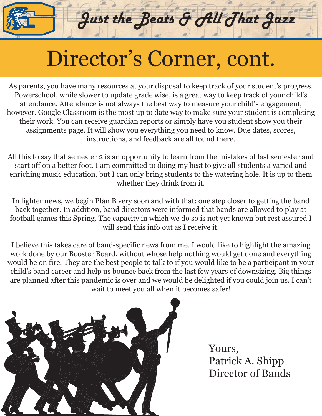## Director's Corner, cont.

Just the Beats & All That Jazz

As parents, you have many resources at your disposal to keep track of your student's progress. Powerschool, while slower to update grade wise, is a great way to keep track of your child's attendance. Attendance is not always the best way to measure your child's engagement, however. Google Classroom is the most up to date way to make sure your student is completing their work. You can receive guardian reports or simply have you student show you their assignments page. It will show you everything you need to know. Due dates, scores, instructions, and feedback are all found there.

All this to say that semester 2 is an opportunity to learn from the mistakes of last semester and start off on a better foot. I am committed to doing my best to give all students a varied and enriching music education, but I can only bring students to the watering hole. It is up to them whether they drink from it.

In lighter news, we begin Plan B very soon and with that: one step closer to getting the band back together. In addition, band directors were informed that bands are allowed to play at football games this Spring. The capacity in which we do so is not yet known but rest assured I will send this info out as I receive it.

I believe this takes care of band-specific news from me. I would like to highlight the amazing work done by our Booster Board, without whose help nothing would get done and everything would be on fire. They are the best people to talk to if you would like to be a participant in your child's band career and help us bounce back from the last few years of downsizing. Big things are planned after this pandemic is over and we would be delighted if you could join us. I can't wait to meet you all when it becomes safer!



Yours, Patrick A. Shipp Director of Bands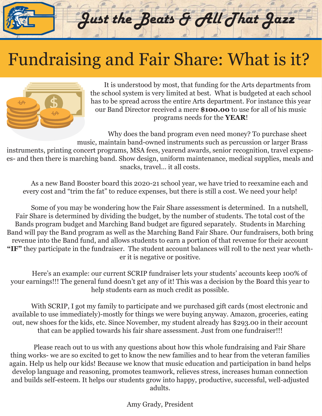### Fundraising and Fair Share: What is it?



 It is understood by most, that funding for the Arts departments from the school system is very limited at best. What is budgeted at each school has to be spread across the entire Arts department. For instance this year our Band Director received a mere **\$100.00** to use for all of his music programs needs for the **YEAR**!

Just the Beats & All That Jazz

 Why does the band program even need money? To purchase sheet music, maintain band-owned instruments such as percussion or larger Brass instruments, printing concert programs, MSA fees, yearend awards, senior recognition, travel expenses- and then there is marching band. Show design, uniform maintenance, medical supplies, meals and snacks, travel… it all costs.

 As a new Band Booster board this 2020-21 school year, we have tried to reexamine each and every cost and "trim the fat" to reduce expenses, but there is still a cost. We need your help!

 Some of you may be wondering how the Fair Share assessment is determined. In a nutshell, Fair Share is determined by dividing the budget, by the number of students. The total cost of the Bands program budget and Marching Band budget are figured separately. Students in Marching Band will pay the Band program as well as the Marching Band Fair Share. Our fundraisers, both bring revenue into the Band fund, and allows students to earn a portion of that revenue for their account **"IF"** they participate in the fundraiser. The student account balances will roll to the next year whether it is negative or positive.

 Here's an example: our current SCRIP fundraiser lets your students' accounts keep 100% of your earnings!!! The general fund doesn't get any of it! This was a decision by the Board this year to help students earn as much credit as possible.

 With SCRIP, I got my family to participate and we purchased gift cards (most electronic and available to use immediately)-mostly for things we were buying anyway. Amazon, groceries, eating out, new shoes for the kids, etc. Since November, my student already has \$293.00 in their account that can be applied towards his fair share assessment. Just from one fundraiser!!!

 Please reach out to us with any questions about how this whole fundraising and Fair Share thing works- we are so excited to get to know the new families and to hear from the veteran families again. Help us help our kids! Because we know that music education and participation in band helps develop language and reasoning, promotes teamwork, relieves stress, increases human connection and builds self-esteem. It helps our students grow into happy, productive, successful, well-adjusted adults.

Amy Grady, President